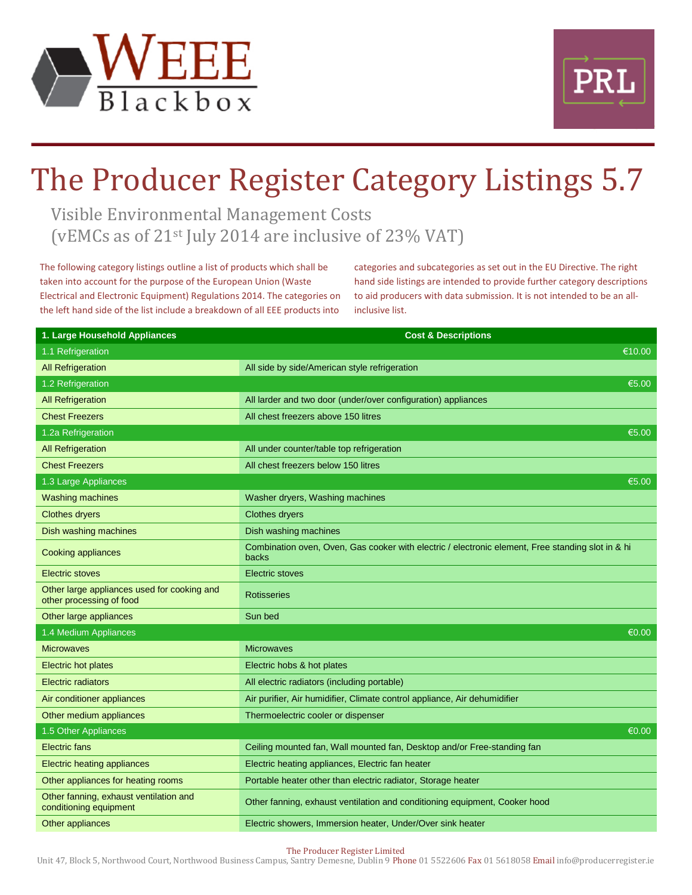



## The Producer Register Category Listings 5.7

Visible Environmental Management Costs (vEMCs as of 21st July 2014 are inclusive of 23% VAT)

The following category listings outline a list of products which shall be taken into account for the purpose of the European Union (Waste Electrical and Electronic Equipment) Regulations 2014. The categories on the left hand side of the list include a breakdown of all EEE products into

categories and subcategories as set out in the EU Directive. The right hand side listings are intended to provide further category descriptions to aid producers with data submission. It is not intended to be an allinclusive list.

| 1. Large Household Appliances                                           | <b>Cost &amp; Descriptions</b>                                                                             |
|-------------------------------------------------------------------------|------------------------------------------------------------------------------------------------------------|
| 1.1 Refrigeration                                                       | €10.00                                                                                                     |
| <b>All Refrigeration</b>                                                | All side by side/American style refrigeration                                                              |
| 1.2 Refrigeration                                                       | €5.00                                                                                                      |
| <b>All Refrigeration</b>                                                | All larder and two door (under/over configuration) appliances                                              |
| <b>Chest Freezers</b>                                                   | All chest freezers above 150 litres                                                                        |
| 1.2a Refrigeration                                                      | €5.00                                                                                                      |
| <b>All Refrigeration</b>                                                | All under counter/table top refrigeration                                                                  |
| <b>Chest Freezers</b>                                                   | All chest freezers below 150 litres                                                                        |
| 1.3 Large Appliances                                                    | €5.00                                                                                                      |
| <b>Washing machines</b>                                                 | Washer dryers, Washing machines                                                                            |
| <b>Clothes dryers</b>                                                   | <b>Clothes dryers</b>                                                                                      |
| Dish washing machines                                                   | Dish washing machines                                                                                      |
| <b>Cooking appliances</b>                                               | Combination oven, Oven, Gas cooker with electric / electronic element, Free standing slot in & hi<br>backs |
| Electric stoves                                                         | <b>Electric stoves</b>                                                                                     |
| Other large appliances used for cooking and<br>other processing of food | <b>Rotisseries</b>                                                                                         |
| Other large appliances                                                  | Sun bed                                                                                                    |
| 1.4 Medium Appliances                                                   | €0.00                                                                                                      |
| <b>Microwaves</b>                                                       | <b>Microwaves</b>                                                                                          |
| <b>Electric hot plates</b>                                              | Electric hobs & hot plates                                                                                 |
| <b>Electric radiators</b>                                               | All electric radiators (including portable)                                                                |
| Air conditioner appliances                                              | Air purifier, Air humidifier, Climate control appliance, Air dehumidifier                                  |
| Other medium appliances                                                 | Thermoelectric cooler or dispenser                                                                         |
| 1.5 Other Appliances                                                    | €0.00                                                                                                      |
| <b>Electric fans</b>                                                    | Ceiling mounted fan, Wall mounted fan, Desktop and/or Free-standing fan                                    |
| <b>Electric heating appliances</b>                                      | Electric heating appliances, Electric fan heater                                                           |
| Other appliances for heating rooms                                      | Portable heater other than electric radiator, Storage heater                                               |
| Other fanning, exhaust ventilation and<br>conditioning equipment        | Other fanning, exhaust ventilation and conditioning equipment, Cooker hood                                 |
| Other appliances                                                        | Electric showers, Immersion heater, Under/Over sink heater                                                 |

The Producer Register Limited

Unit 47, Block 5, Northwood Court, Northwood Business Campus, Santry Demesne, Dublin 9 Phone 01 5522606 Fax 01 5618058 Email info@producerregister.ie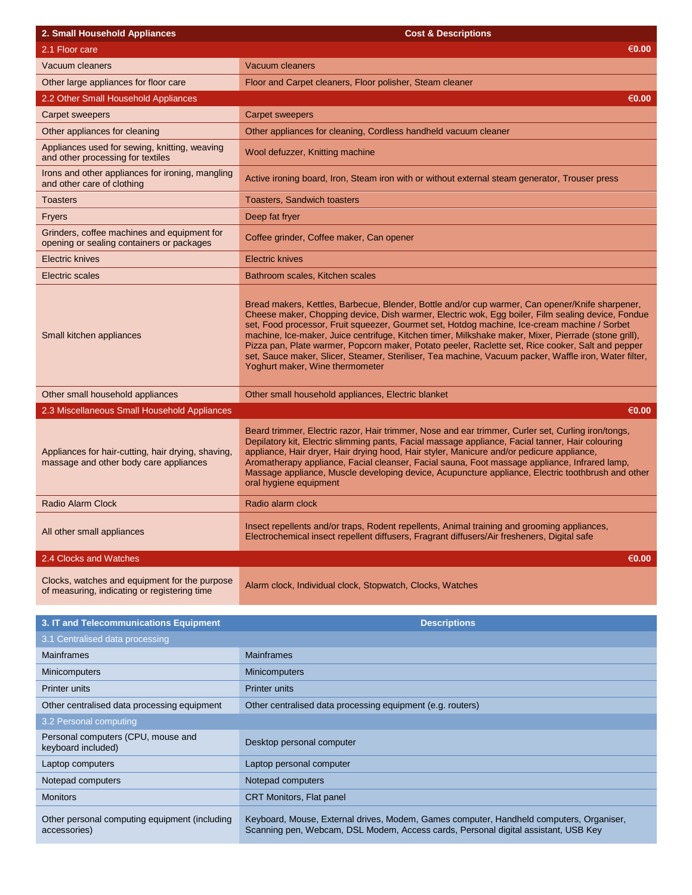| 2. Small Household Appliances                                                                 | <b>Cost &amp; Descriptions</b>                                                                                                                                                                                                                                                                                                                                                                                                                                                                                                                                                                                                                                |
|-----------------------------------------------------------------------------------------------|---------------------------------------------------------------------------------------------------------------------------------------------------------------------------------------------------------------------------------------------------------------------------------------------------------------------------------------------------------------------------------------------------------------------------------------------------------------------------------------------------------------------------------------------------------------------------------------------------------------------------------------------------------------|
| 2.1 Floor care                                                                                | €0.00                                                                                                                                                                                                                                                                                                                                                                                                                                                                                                                                                                                                                                                         |
| Vacuum cleaners                                                                               | Vacuum cleaners                                                                                                                                                                                                                                                                                                                                                                                                                                                                                                                                                                                                                                               |
| Other large appliances for floor care                                                         | Floor and Carpet cleaners, Floor polisher, Steam cleaner                                                                                                                                                                                                                                                                                                                                                                                                                                                                                                                                                                                                      |
| 2.2 Other Small Household Appliances                                                          | €0.00                                                                                                                                                                                                                                                                                                                                                                                                                                                                                                                                                                                                                                                         |
| <b>Carpet sweepers</b>                                                                        | <b>Carpet sweepers</b>                                                                                                                                                                                                                                                                                                                                                                                                                                                                                                                                                                                                                                        |
| Other appliances for cleaning                                                                 | Other appliances for cleaning, Cordless handheld vacuum cleaner                                                                                                                                                                                                                                                                                                                                                                                                                                                                                                                                                                                               |
| Appliances used for sewing, knitting, weaving<br>and other processing for textiles            | Wool defuzzer, Knitting machine                                                                                                                                                                                                                                                                                                                                                                                                                                                                                                                                                                                                                               |
| Irons and other appliances for ironing, mangling<br>and other care of clothing                | Active ironing board, Iron, Steam iron with or without external steam generator, Trouser press                                                                                                                                                                                                                                                                                                                                                                                                                                                                                                                                                                |
| <b>Toasters</b>                                                                               | <b>Toasters, Sandwich toasters</b>                                                                                                                                                                                                                                                                                                                                                                                                                                                                                                                                                                                                                            |
| Fryers                                                                                        | Deep fat fryer                                                                                                                                                                                                                                                                                                                                                                                                                                                                                                                                                                                                                                                |
| Grinders, coffee machines and equipment for<br>opening or sealing containers or packages      | Coffee grinder, Coffee maker, Can opener                                                                                                                                                                                                                                                                                                                                                                                                                                                                                                                                                                                                                      |
| <b>Electric knives</b>                                                                        | <b>Electric knives</b>                                                                                                                                                                                                                                                                                                                                                                                                                                                                                                                                                                                                                                        |
| <b>Electric scales</b>                                                                        | Bathroom scales, Kitchen scales                                                                                                                                                                                                                                                                                                                                                                                                                                                                                                                                                                                                                               |
| Small kitchen appliances                                                                      | Bread makers, Kettles, Barbecue, Blender, Bottle and/or cup warmer, Can opener/Knife sharpener,<br>Cheese maker, Chopping device, Dish warmer, Electric wok, Egg boiler, Film sealing device, Fondue<br>set, Food processor, Fruit squeezer, Gourmet set, Hotdog machine, Ice-cream machine / Sorbet<br>machine, Ice-maker, Juice centrifuge, Kitchen timer, Milkshake maker, Mixer, Pierrade (stone grill),<br>Pizza pan, Plate warmer, Popcorn maker, Potato peeler, Raclette set, Rice cooker, Salt and pepper<br>set, Sauce maker, Slicer, Steamer, Steriliser, Tea machine, Vacuum packer, Waffle iron, Water filter,<br>Yoghurt maker, Wine thermometer |
| Other small household appliances                                                              | Other small household appliances, Electric blanket                                                                                                                                                                                                                                                                                                                                                                                                                                                                                                                                                                                                            |
| 2.3 Miscellaneous Small Household Appliances                                                  | €0.00                                                                                                                                                                                                                                                                                                                                                                                                                                                                                                                                                                                                                                                         |
| Appliances for hair-cutting, hair drying, shaving,<br>massage and other body care appliances  | Beard trimmer, Electric razor, Hair trimmer, Nose and ear trimmer, Curler set, Curling iron/tongs,<br>Depilatory kit, Electric slimming pants, Facial massage appliance, Facial tanner, Hair colouring<br>appliance, Hair dryer, Hair drying hood, Hair styler, Manicure and/or pedicure appliance,<br>Aromatherapy appliance, Facial cleanser, Facial sauna, Foot massage appliance, Infrared lamp,<br>Massage appliance, Muscle developing device, Acupuncture appliance, Electric toothbrush and other<br>oral hygiene equipment                                                                                                                           |
| <b>Radio Alarm Clock</b>                                                                      | Radio alarm clock                                                                                                                                                                                                                                                                                                                                                                                                                                                                                                                                                                                                                                             |
| All other small appliances                                                                    | Insect repellents and/or traps, Rodent repellents, Animal training and grooming appliances,<br>Electrochemical insect repellent diffusers, Fragrant diffusers/Air fresheners, Digital safe                                                                                                                                                                                                                                                                                                                                                                                                                                                                    |
| 2.4 Clocks and Watches                                                                        | €0.00                                                                                                                                                                                                                                                                                                                                                                                                                                                                                                                                                                                                                                                         |
| Clocks, watches and equipment for the purpose<br>of measuring, indicating or registering time | Alarm clock, Individual clock, Stopwatch, Clocks, Watches                                                                                                                                                                                                                                                                                                                                                                                                                                                                                                                                                                                                     |

| 3. IT and Telecommunications Equipment                        | <b>Descriptions</b>                                                                                                                                                           |
|---------------------------------------------------------------|-------------------------------------------------------------------------------------------------------------------------------------------------------------------------------|
| 3.1 Centralised data processing                               |                                                                                                                                                                               |
| <b>Mainframes</b>                                             | <b>Mainframes</b>                                                                                                                                                             |
| <b>Minicomputers</b>                                          | <b>Minicomputers</b>                                                                                                                                                          |
| <b>Printer units</b>                                          | <b>Printer units</b>                                                                                                                                                          |
| Other centralised data processing equipment                   | Other centralised data processing equipment (e.g. routers)                                                                                                                    |
| 3.2 Personal computing                                        |                                                                                                                                                                               |
| Personal computers (CPU, mouse and<br>keyboard included)      | Desktop personal computer                                                                                                                                                     |
| Laptop computers                                              | Laptop personal computer                                                                                                                                                      |
| Notepad computers                                             | Notepad computers                                                                                                                                                             |
| <b>Monitors</b>                                               | <b>CRT Monitors, Flat panel</b>                                                                                                                                               |
| Other personal computing equipment (including<br>accessories) | Keyboard, Mouse, External drives, Modem, Games computer, Handheld computers, Organiser,<br>Scanning pen, Webcam, DSL Modem, Access cards, Personal digital assistant, USB Key |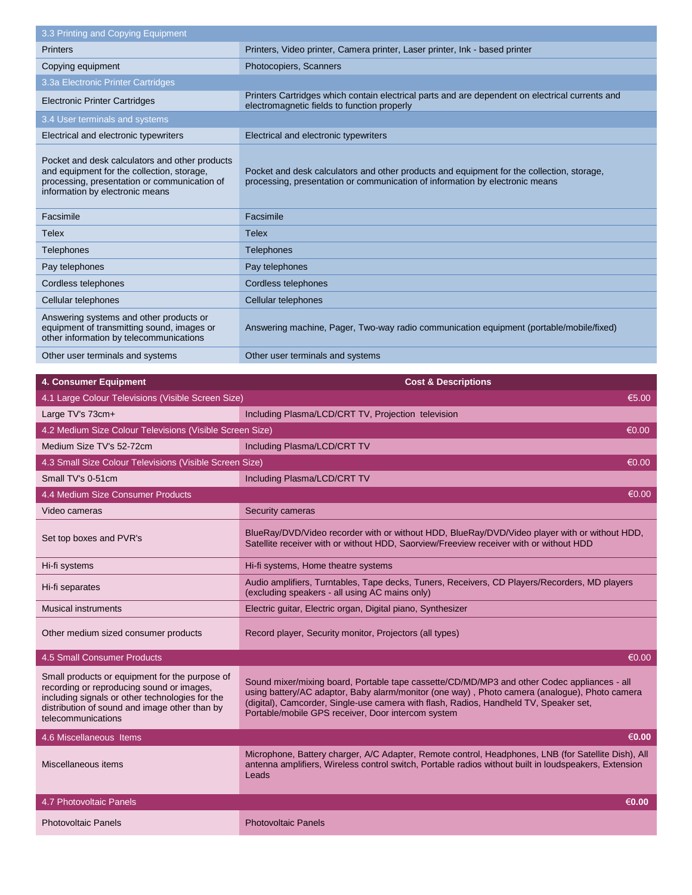| 3.3 Printing and Copying Equipment                                                                                                                                                                                    |                                                                                                                                                                                                                                                                                                                                             |
|-----------------------------------------------------------------------------------------------------------------------------------------------------------------------------------------------------------------------|---------------------------------------------------------------------------------------------------------------------------------------------------------------------------------------------------------------------------------------------------------------------------------------------------------------------------------------------|
| <b>Printers</b>                                                                                                                                                                                                       | Printers, Video printer, Camera printer, Laser printer, Ink - based printer                                                                                                                                                                                                                                                                 |
| Copying equipment                                                                                                                                                                                                     | Photocopiers, Scanners                                                                                                                                                                                                                                                                                                                      |
| 3.3a Electronic Printer Cartridges                                                                                                                                                                                    |                                                                                                                                                                                                                                                                                                                                             |
| <b>Electronic Printer Cartridges</b>                                                                                                                                                                                  | Printers Cartridges which contain electrical parts and are dependent on electrical currents and<br>electromagnetic fields to function properly                                                                                                                                                                                              |
| 3.4 User terminals and systems                                                                                                                                                                                        |                                                                                                                                                                                                                                                                                                                                             |
| Electrical and electronic typewriters                                                                                                                                                                                 | Electrical and electronic typewriters                                                                                                                                                                                                                                                                                                       |
| Pocket and desk calculators and other products<br>and equipment for the collection, storage,<br>processing, presentation or communication of<br>information by electronic means                                       | Pocket and desk calculators and other products and equipment for the collection, storage,<br>processing, presentation or communication of information by electronic means                                                                                                                                                                   |
| Facsimile                                                                                                                                                                                                             | Facsimile                                                                                                                                                                                                                                                                                                                                   |
| Telex                                                                                                                                                                                                                 | <b>Telex</b>                                                                                                                                                                                                                                                                                                                                |
| Telephones                                                                                                                                                                                                            | <b>Telephones</b>                                                                                                                                                                                                                                                                                                                           |
| Pay telephones                                                                                                                                                                                                        | Pay telephones                                                                                                                                                                                                                                                                                                                              |
| Cordless telephones                                                                                                                                                                                                   | Cordless telephones                                                                                                                                                                                                                                                                                                                         |
| Cellular telephones                                                                                                                                                                                                   | Cellular telephones                                                                                                                                                                                                                                                                                                                         |
| Answering systems and other products or<br>equipment of transmitting sound, images or<br>other information by telecommunications                                                                                      | Answering machine, Pager, Two-way radio communication equipment (portable/mobile/fixed)                                                                                                                                                                                                                                                     |
| Other user terminals and systems                                                                                                                                                                                      | Other user terminals and systems                                                                                                                                                                                                                                                                                                            |
|                                                                                                                                                                                                                       |                                                                                                                                                                                                                                                                                                                                             |
| 4. Consumer Equipment                                                                                                                                                                                                 | <b>Cost &amp; Descriptions</b>                                                                                                                                                                                                                                                                                                              |
| 4.1 Large Colour Televisions (Visible Screen Size)                                                                                                                                                                    | €5.00                                                                                                                                                                                                                                                                                                                                       |
| Large TV's 73cm+                                                                                                                                                                                                      | Including Plasma/LCD/CRT TV, Projection television                                                                                                                                                                                                                                                                                          |
|                                                                                                                                                                                                                       |                                                                                                                                                                                                                                                                                                                                             |
| 4.2 Medium Size Colour Televisions (Visible Screen Size)                                                                                                                                                              | €0.00                                                                                                                                                                                                                                                                                                                                       |
| Medium Size TV's 52-72cm                                                                                                                                                                                              | Including Plasma/LCD/CRT TV                                                                                                                                                                                                                                                                                                                 |
| 4.3 Small Size Colour Televisions (Visible Screen Size)                                                                                                                                                               | €0.00                                                                                                                                                                                                                                                                                                                                       |
| Small TV's 0-51cm                                                                                                                                                                                                     | Including Plasma/LCD/CRT TV                                                                                                                                                                                                                                                                                                                 |
| 4.4 Medium Size Consumer Products                                                                                                                                                                                     | $\overline{\epsilon}$ 0.00                                                                                                                                                                                                                                                                                                                  |
| Video cameras                                                                                                                                                                                                         | Security cameras                                                                                                                                                                                                                                                                                                                            |
| Set top boxes and PVR's                                                                                                                                                                                               | BlueRay/DVD/Video recorder with or without HDD, BlueRay/DVD/Video player with or without HDD,<br>Satellite receiver with or without HDD, Saorview/Freeview receiver with or without HDD                                                                                                                                                     |
| Hi-fi systems                                                                                                                                                                                                         | Hi-fi systems, Home theatre systems                                                                                                                                                                                                                                                                                                         |
| Hi-fi separates                                                                                                                                                                                                       | Audio amplifiers, Turntables, Tape decks, Tuners, Receivers, CD Players/Recorders, MD players<br>(excluding speakers - all using AC mains only)                                                                                                                                                                                             |
| <b>Musical instruments</b>                                                                                                                                                                                            | Electric guitar, Electric organ, Digital piano, Synthesizer                                                                                                                                                                                                                                                                                 |
| Other medium sized consumer products                                                                                                                                                                                  | Record player, Security monitor, Projectors (all types)                                                                                                                                                                                                                                                                                     |
| 4.5 Small Consumer Products                                                                                                                                                                                           | $\overline{\epsilon 0.00}$                                                                                                                                                                                                                                                                                                                  |
| Small products or equipment for the purpose of<br>recording or reproducing sound or images,<br>including signals or other technologies for the<br>distribution of sound and image other than by<br>telecommunications | Sound mixer/mixing board, Portable tape cassette/CD/MD/MP3 and other Codec appliances - all<br>using battery/AC adaptor, Baby alarm/monitor (one way), Photo camera (analogue), Photo camera<br>(digital), Camcorder, Single-use camera with flash, Radios, Handheld TV, Speaker set,<br>Portable/mobile GPS receiver, Door intercom system |
| 4.6 Miscellaneous Items                                                                                                                                                                                               | €0.00                                                                                                                                                                                                                                                                                                                                       |
| Miscellaneous items                                                                                                                                                                                                   | Microphone, Battery charger, A/C Adapter, Remote control, Headphones, LNB (for Satellite Dish), All<br>antenna amplifiers, Wireless control switch, Portable radios without built in loudspeakers, Extension<br>Leads                                                                                                                       |
| 4.7 Photovoltaic Panels                                                                                                                                                                                               | €0.00                                                                                                                                                                                                                                                                                                                                       |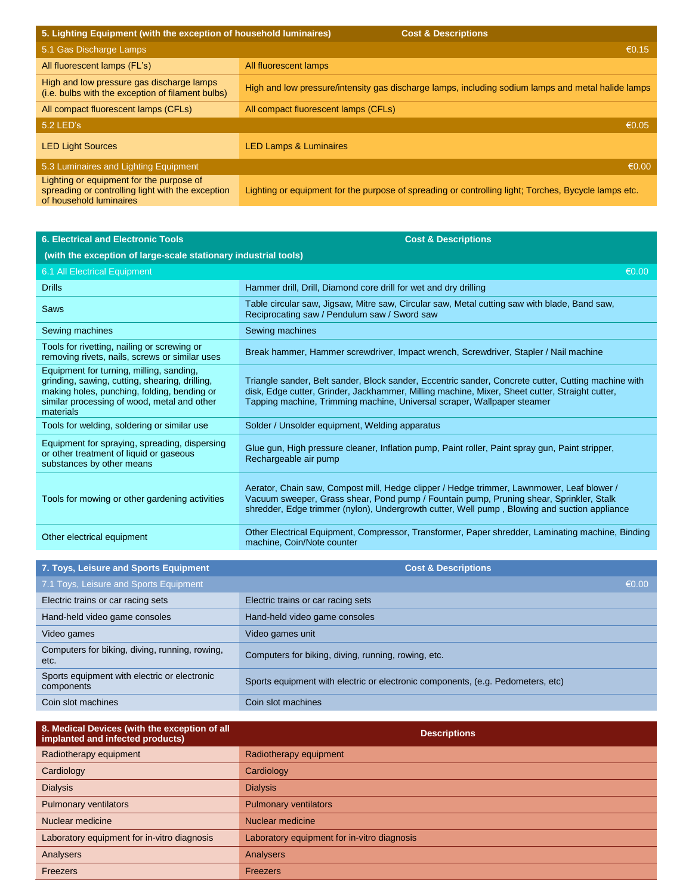| 5. Lighting Equipment (with the exception of household luminaires)<br><b>Cost &amp; Descriptions</b>                     |                                                                                                      |
|--------------------------------------------------------------------------------------------------------------------------|------------------------------------------------------------------------------------------------------|
| 5.1 Gas Discharge Lamps                                                                                                  | €0.15                                                                                                |
| All fluorescent lamps (FL's)                                                                                             | All fluorescent lamps                                                                                |
| High and low pressure gas discharge lamps<br>(i.e. bulbs with the exception of filament bulbs)                           | High and low pressure/intensity gas discharge lamps, including sodium lamps and metal halide lamps   |
| All compact fluorescent lamps (CFLs)                                                                                     | All compact fluorescent lamps (CFLs)                                                                 |
| 5.2 LED's                                                                                                                | €0.05                                                                                                |
| <b>LED Light Sources</b>                                                                                                 | <b>LED Lamps &amp; Luminaires</b>                                                                    |
| 5.3 Luminaires and Lighting Equipment                                                                                    | €0.00                                                                                                |
| Lighting or equipment for the purpose of<br>spreading or controlling light with the exception<br>of household luminaires | Lighting or equipment for the purpose of spreading or controlling light; Torches, Bycycle lamps etc. |

| <b>6. Electrical and Electronic Tools</b>                                                                                                                                                             | <b>Cost &amp; Descriptions</b>                                                                                                                                                                                                                                                       |
|-------------------------------------------------------------------------------------------------------------------------------------------------------------------------------------------------------|--------------------------------------------------------------------------------------------------------------------------------------------------------------------------------------------------------------------------------------------------------------------------------------|
| (with the exception of large-scale stationary industrial tools)                                                                                                                                       |                                                                                                                                                                                                                                                                                      |
| 6.1 All Electrical Equipment                                                                                                                                                                          | €0.00                                                                                                                                                                                                                                                                                |
| <b>Drills</b>                                                                                                                                                                                         | Hammer drill, Drill, Diamond core drill for wet and dry drilling                                                                                                                                                                                                                     |
| <b>Saws</b>                                                                                                                                                                                           | Table circular saw, Jigsaw, Mitre saw, Circular saw, Metal cutting saw with blade, Band saw,<br>Reciprocating saw / Pendulum saw / Sword saw                                                                                                                                         |
| Sewing machines                                                                                                                                                                                       | Sewing machines                                                                                                                                                                                                                                                                      |
| Tools for rivetting, nailing or screwing or<br>removing rivets, nails, screws or similar uses                                                                                                         | Break hammer, Hammer screwdriver, Impact wrench, Screwdriver, Stapler / Nail machine                                                                                                                                                                                                 |
| Equipment for turning, milling, sanding,<br>grinding, sawing, cutting, shearing, drilling,<br>making holes, punching, folding, bending or<br>similar processing of wood, metal and other<br>materials | Triangle sander, Belt sander, Block sander, Eccentric sander, Concrete cutter, Cutting machine with<br>disk, Edge cutter, Grinder, Jackhammer, Milling machine, Mixer, Sheet cutter, Straight cutter,<br>Tapping machine, Trimming machine, Universal scraper, Wallpaper steamer     |
| Tools for welding, soldering or similar use                                                                                                                                                           | Solder / Unsolder equipment, Welding apparatus                                                                                                                                                                                                                                       |
| Equipment for spraying, spreading, dispersing<br>or other treatment of liquid or gaseous<br>substances by other means                                                                                 | Glue gun, High pressure cleaner, Inflation pump, Paint roller, Paint spray gun, Paint stripper,<br>Rechargeable air pump                                                                                                                                                             |
| Tools for mowing or other gardening activities                                                                                                                                                        | Aerator, Chain saw, Compost mill, Hedge clipper / Hedge trimmer, Lawnmower, Leaf blower /<br>Vacuum sweeper, Grass shear, Pond pump / Fountain pump, Pruning shear, Sprinkler, Stalk<br>shredder, Edge trimmer (nylon), Undergrowth cutter, Well pump, Blowing and suction appliance |
| Other electrical equipment                                                                                                                                                                            | Other Electrical Equipment, Compressor, Transformer, Paper shredder, Laminating machine, Binding<br>machine, Coin/Note counter                                                                                                                                                       |
|                                                                                                                                                                                                       |                                                                                                                                                                                                                                                                                      |
| 7. Toys, Leisure and Sports Equipment                                                                                                                                                                 | <b>Cost &amp; Descriptions</b>                                                                                                                                                                                                                                                       |
| 7.1 Toys, Leisure and Sports Equipment                                                                                                                                                                | €0.00                                                                                                                                                                                                                                                                                |
| Electric trains or car racing sets                                                                                                                                                                    | Electric trains or car racing sets                                                                                                                                                                                                                                                   |
| Hand-held video game consoles                                                                                                                                                                         | Hand-held video game consoles                                                                                                                                                                                                                                                        |
| Video games                                                                                                                                                                                           | Video games unit                                                                                                                                                                                                                                                                     |
| Computers for biking, diving, running, rowing,<br>etc.                                                                                                                                                | Computers for biking, diving, running, rowing, etc.                                                                                                                                                                                                                                  |

| 8. Medical Devices (with the exception of all              | <b>December 200</b>                                                             |
|------------------------------------------------------------|---------------------------------------------------------------------------------|
| Coin slot machines                                         | Coin slot machines                                                              |
| Sports equipment with electric or electronic<br>components | Sports equipment with electric or electronic components, (e.g. Pedometers, etc) |